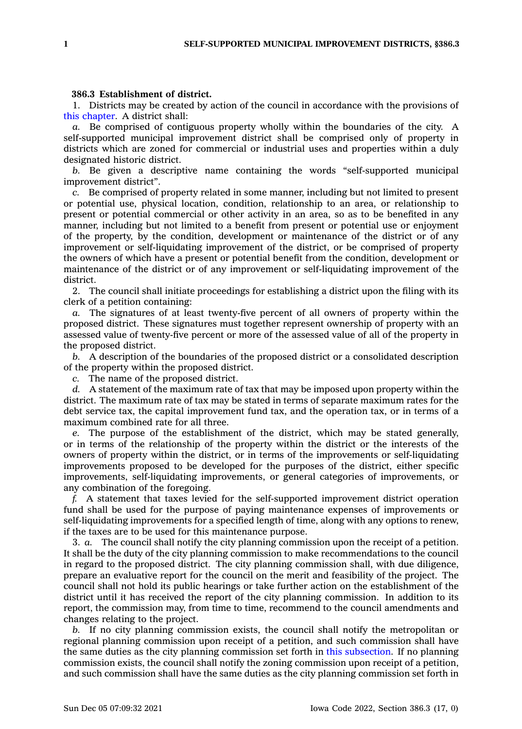## **386.3 Establishment of district.**

1. Districts may be created by action of the council in accordance with the provisions of this [chapter](https://www.legis.iowa.gov/docs/code//386.pdf). A district shall:

*a.* Be comprised of contiguous property wholly within the boundaries of the city. A self-supported municipal improvement district shall be comprised only of property in districts which are zoned for commercial or industrial uses and properties within <sup>a</sup> duly designated historic district.

*b.* Be given <sup>a</sup> descriptive name containing the words "self-supported municipal improvement district".

*c.* Be comprised of property related in some manner, including but not limited to present or potential use, physical location, condition, relationship to an area, or relationship to present or potential commercial or other activity in an area, so as to be benefited in any manner, including but not limited to <sup>a</sup> benefit from present or potential use or enjoyment of the property, by the condition, development or maintenance of the district or of any improvement or self-liquidating improvement of the district, or be comprised of property the owners of which have <sup>a</sup> present or potential benefit from the condition, development or maintenance of the district or of any improvement or self-liquidating improvement of the district.

2. The council shall initiate proceedings for establishing <sup>a</sup> district upon the filing with its clerk of <sup>a</sup> petition containing:

*a.* The signatures of at least twenty-five percent of all owners of property within the proposed district. These signatures must together represent ownership of property with an assessed value of twenty-five percent or more of the assessed value of all of the property in the proposed district.

*b.* A description of the boundaries of the proposed district or <sup>a</sup> consolidated description of the property within the proposed district.

*c.* The name of the proposed district.

*d.* A statement of the maximum rate of tax that may be imposed upon property within the district. The maximum rate of tax may be stated in terms of separate maximum rates for the debt service tax, the capital improvement fund tax, and the operation tax, or in terms of <sup>a</sup> maximum combined rate for all three.

*e.* The purpose of the establishment of the district, which may be stated generally, or in terms of the relationship of the property within the district or the interests of the owners of property within the district, or in terms of the improvements or self-liquidating improvements proposed to be developed for the purposes of the district, either specific improvements, self-liquidating improvements, or general categories of improvements, or any combination of the foregoing.

*f.* A statement that taxes levied for the self-supported improvement district operation fund shall be used for the purpose of paying maintenance expenses of improvements or self-liquidating improvements for <sup>a</sup> specified length of time, along with any options to renew, if the taxes are to be used for this maintenance purpose.

3. *a.* The council shall notify the city planning commission upon the receipt of <sup>a</sup> petition. It shall be the duty of the city planning commission to make recommendations to the council in regard to the proposed district. The city planning commission shall, with due diligence, prepare an evaluative report for the council on the merit and feasibility of the project. The council shall not hold its public hearings or take further action on the establishment of the district until it has received the report of the city planning commission. In addition to its report, the commission may, from time to time, recommend to the council amendments and changes relating to the project.

*b.* If no city planning commission exists, the council shall notify the metropolitan or regional planning commission upon receipt of <sup>a</sup> petition, and such commission shall have the same duties as the city planning commission set forth in this [subsection](https://www.legis.iowa.gov/docs/code/386.3.pdf). If no planning commission exists, the council shall notify the zoning commission upon receipt of <sup>a</sup> petition, and such commission shall have the same duties as the city planning commission set forth in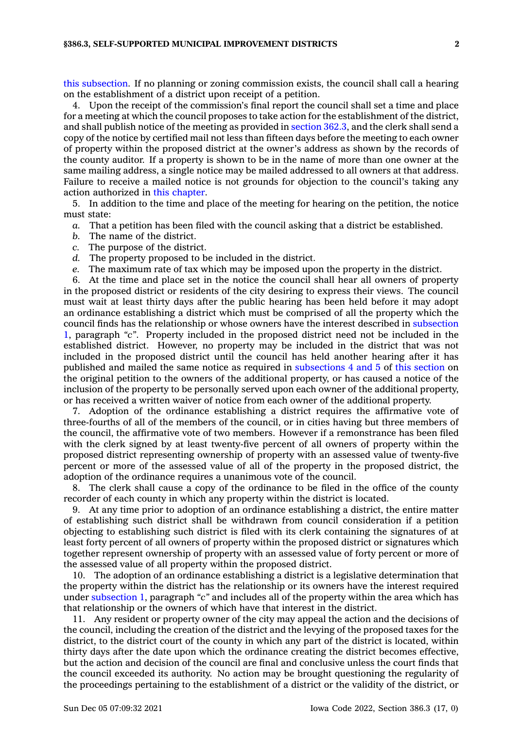this [subsection](https://www.legis.iowa.gov/docs/code/386.3.pdf). If no planning or zoning commission exists, the council shall call <sup>a</sup> hearing on the establishment of <sup>a</sup> district upon receipt of <sup>a</sup> petition.

4. Upon the receipt of the commission's final report the council shall set <sup>a</sup> time and place for <sup>a</sup> meeting at which the council proposes to take action for the establishment of the district, and shall publish notice of the meeting as provided in [section](https://www.legis.iowa.gov/docs/code/362.3.pdf) 362.3, and the clerk shall send <sup>a</sup> copy of the notice by certified mail not less than fifteen days before the meeting to each owner of property within the proposed district at the owner's address as shown by the records of the county auditor. If <sup>a</sup> property is shown to be in the name of more than one owner at the same mailing address, <sup>a</sup> single notice may be mailed addressed to all owners at that address. Failure to receive <sup>a</sup> mailed notice is not grounds for objection to the council's taking any action authorized in this [chapter](https://www.legis.iowa.gov/docs/code//386.pdf).

5. In addition to the time and place of the meeting for hearing on the petition, the notice must state:

- *a.* That <sup>a</sup> petition has been filed with the council asking that <sup>a</sup> district be established.
- *b.* The name of the district.
- *c.* The purpose of the district.

*d.* The property proposed to be included in the district.

*e.* The maximum rate of tax which may be imposed upon the property in the district.

6. At the time and place set in the notice the council shall hear all owners of property in the proposed district or residents of the city desiring to express their views. The council must wait at least thirty days after the public hearing has been held before it may adopt an ordinance establishing <sup>a</sup> district which must be comprised of all the property which the council finds has the relationship or whose owners have the interest described in [subsection](https://www.legis.iowa.gov/docs/code/386.3.pdf) [1](https://www.legis.iowa.gov/docs/code/386.3.pdf), paragraph *"c"*. Property included in the proposed district need not be included in the established district. However, no property may be included in the district that was not included in the proposed district until the council has held another hearing after it has published and mailed the same notice as required in [subsections](https://www.legis.iowa.gov/docs/code/386.3.pdf) 4 and 5 of this [section](https://www.legis.iowa.gov/docs/code/386.3.pdf) on the original petition to the owners of the additional property, or has caused <sup>a</sup> notice of the inclusion of the property to be personally served upon each owner of the additional property, or has received <sup>a</sup> written waiver of notice from each owner of the additional property.

7. Adoption of the ordinance establishing <sup>a</sup> district requires the affirmative vote of three-fourths of all of the members of the council, or in cities having but three members of the council, the affirmative vote of two members. However if <sup>a</sup> remonstrance has been filed with the clerk signed by at least twenty-five percent of all owners of property within the proposed district representing ownership of property with an assessed value of twenty-five percent or more of the assessed value of all of the property in the proposed district, the adoption of the ordinance requires <sup>a</sup> unanimous vote of the council.

8. The clerk shall cause <sup>a</sup> copy of the ordinance to be filed in the office of the county recorder of each county in which any property within the district is located.

9. At any time prior to adoption of an ordinance establishing <sup>a</sup> district, the entire matter of establishing such district shall be withdrawn from council consideration if <sup>a</sup> petition objecting to establishing such district is filed with its clerk containing the signatures of at least forty percent of all owners of property within the proposed district or signatures which together represent ownership of property with an assessed value of forty percent or more of the assessed value of all property within the proposed district.

10. The adoption of an ordinance establishing <sup>a</sup> district is <sup>a</sup> legislative determination that the property within the district has the relationship or its owners have the interest required under [subsection](https://www.legis.iowa.gov/docs/code/386.3.pdf) 1, paragraph *"c"* and includes all of the property within the area which has that relationship or the owners of which have that interest in the district.

11. Any resident or property owner of the city may appeal the action and the decisions of the council, including the creation of the district and the levying of the proposed taxes for the district, to the district court of the county in which any part of the district is located, within thirty days after the date upon which the ordinance creating the district becomes effective, but the action and decision of the council are final and conclusive unless the court finds that the council exceeded its authority. No action may be brought questioning the regularity of the proceedings pertaining to the establishment of <sup>a</sup> district or the validity of the district, or